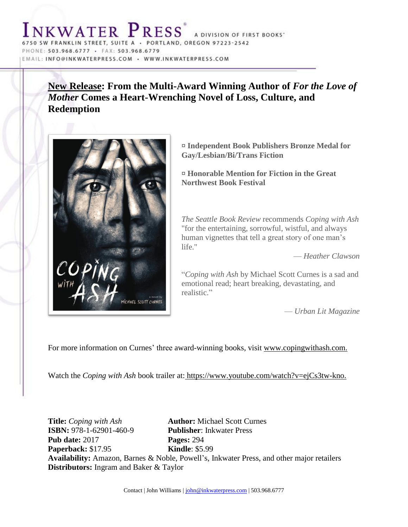WATER A DIVISION OF FIRST BOOKS' FRANKLIN STREET, SUITE A - PORTLAND, OREGON 97223-2542 PHONE: 503.968.6777 · FAX: 503.968.6779 EMAIL: INFO@INKWATERPRESS.COM · WWW.INKWATERPRESS.COM

## **New Release: From the Multi-Award Winning Author of** *For the Love of Mother* **Comes a Heart-Wrenching Novel of Loss, Culture, and Redemption**



**¤ Independent Book Publishers Bronze Medal for Gay/Lesbian/Bi/Trans Fiction**

**¤ Honorable Mention for Fiction in the Great Northwest Book Festival**

*The Seattle Book Review* recommends *Coping with Ash* "for the entertaining, sorrowful, wistful, and always human vignettes that tell a great story of one man's life."

— *Heather Clawson*

"*Coping with Ash* by Michael Scott Curnes is a sad and emotional read; heart breaking, devastating, and realistic."

— *Urban Lit Magazine*

For more information on Curnes' three award-winning books, visit [www.copingwithash.com.](http://www.copingwithash.com/)

Watch the *Coping with Ash* book trailer at: https://www.youtube.com/watch?v=ejCs3tw-kno.

**Pub date:** 2017 **Pages:** 294 **Paperback:** \$17.95 **Kindle**: \$5.99 **Distributors:** Ingram and Baker & Taylor

**Title:** *Coping with Ash* **Author:** Michael Scott Curnes **ISBN:** 978-1-62901-460-9 **Publisher**: Inkwater Press **Availability:** Amazon, Barnes & Noble, Powell's, Inkwater Press, and other major retailers

Contact | John Williams [| john@inkwaterpress.com](mailto:john@inkwaterpress.com) | 503.968.6777